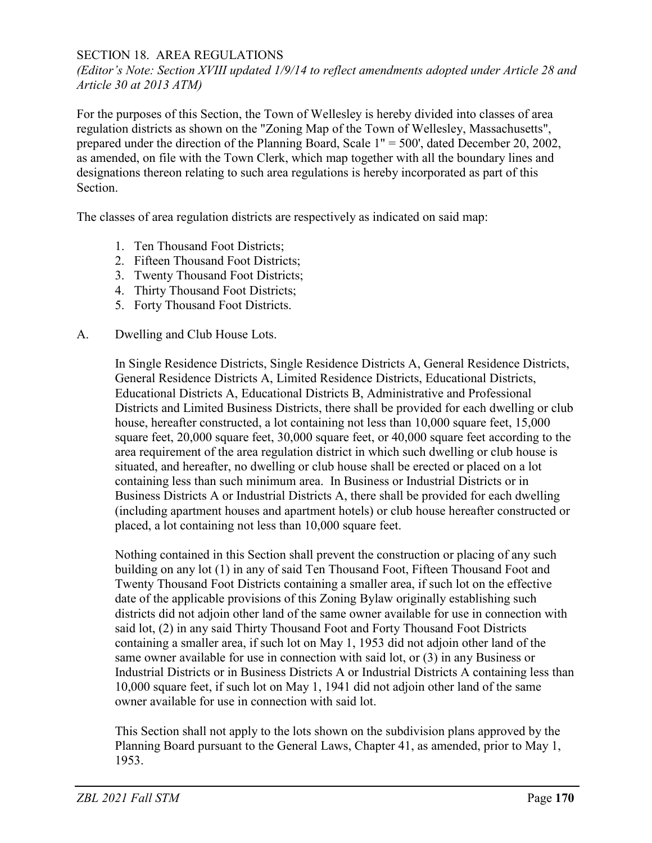## SECTION 18. AREA REGULATIONS

*(Editor's Note: Section XVIII updated 1/9/14 to reflect amendments adopted under Article 28 and Article 30 at 2013 ATM)*

For the purposes of this Section, the Town of Wellesley is hereby divided into classes of area regulation districts as shown on the "Zoning Map of the Town of Wellesley, Massachusetts", prepared under the direction of the Planning Board, Scale 1" = 500', dated December 20, 2002, as amended, on file with the Town Clerk, which map together with all the boundary lines and designations thereon relating to such area regulations is hereby incorporated as part of this Section.

The classes of area regulation districts are respectively as indicated on said map:

- 1. Ten Thousand Foot Districts;
- 2. Fifteen Thousand Foot Districts;
- 3. Twenty Thousand Foot Districts;
- 4. Thirty Thousand Foot Districts;
- 5. Forty Thousand Foot Districts.
- A. Dwelling and Club House Lots.

In Single Residence Districts, Single Residence Districts A, General Residence Districts, General Residence Districts A, Limited Residence Districts, Educational Districts, Educational Districts A, Educational Districts B, Administrative and Professional Districts and Limited Business Districts, there shall be provided for each dwelling or club house, hereafter constructed, a lot containing not less than 10,000 square feet, 15,000 square feet, 20,000 square feet, 30,000 square feet, or 40,000 square feet according to the area requirement of the area regulation district in which such dwelling or club house is situated, and hereafter, no dwelling or club house shall be erected or placed on a lot containing less than such minimum area. In Business or Industrial Districts or in Business Districts A or Industrial Districts A, there shall be provided for each dwelling (including apartment houses and apartment hotels) or club house hereafter constructed or placed, a lot containing not less than 10,000 square feet.

Nothing contained in this Section shall prevent the construction or placing of any such building on any lot (1) in any of said Ten Thousand Foot, Fifteen Thousand Foot and Twenty Thousand Foot Districts containing a smaller area, if such lot on the effective date of the applicable provisions of this Zoning Bylaw originally establishing such districts did not adjoin other land of the same owner available for use in connection with said lot, (2) in any said Thirty Thousand Foot and Forty Thousand Foot Districts containing a smaller area, if such lot on May 1, 1953 did not adjoin other land of the same owner available for use in connection with said lot, or (3) in any Business or Industrial Districts or in Business Districts A or Industrial Districts A containing less than 10,000 square feet, if such lot on May 1, 1941 did not adjoin other land of the same owner available for use in connection with said lot.

This Section shall not apply to the lots shown on the subdivision plans approved by the Planning Board pursuant to the General Laws, Chapter 41, as amended, prior to May 1, 1953.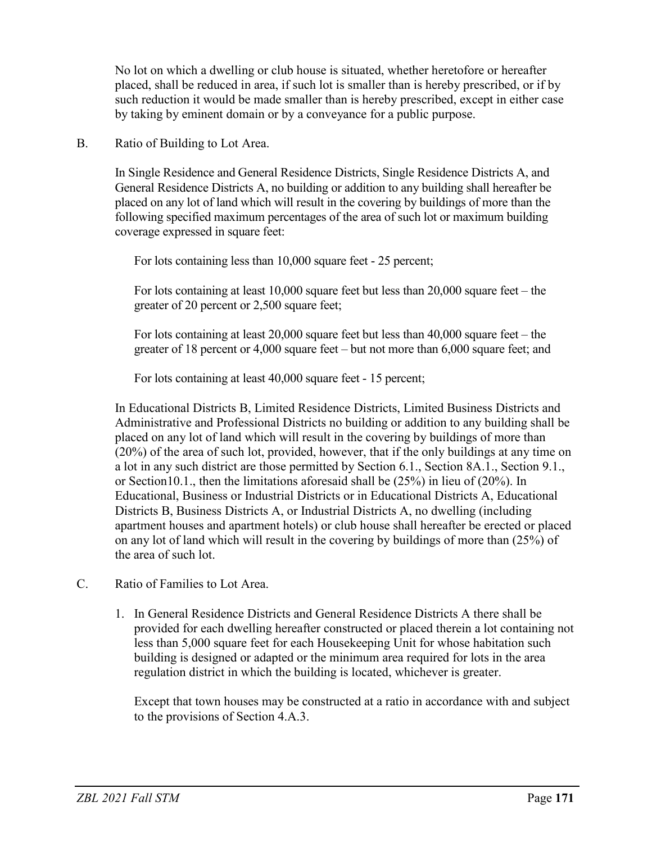No lot on which a dwelling or club house is situated, whether heretofore or hereafter placed, shall be reduced in area, if such lot is smaller than is hereby prescribed, or if by such reduction it would be made smaller than is hereby prescribed, except in either case by taking by eminent domain or by a conveyance for a public purpose.

## B. Ratio of Building to Lot Area.

In Single Residence and General Residence Districts, Single Residence Districts A, and General Residence Districts A, no building or addition to any building shall hereafter be placed on any lot of land which will result in the covering by buildings of more than the following specified maximum percentages of the area of such lot or maximum building coverage expressed in square feet:

For lots containing less than 10,000 square feet - 25 percent;

For lots containing at least 10,000 square feet but less than 20,000 square feet – the greater of 20 percent or 2,500 square feet;

For lots containing at least 20,000 square feet but less than 40,000 square feet – the greater of 18 percent or 4,000 square feet – but not more than 6,000 square feet; and

For lots containing at least 40,000 square feet - 15 percent;

In Educational Districts B, Limited Residence Districts, Limited Business Districts and Administrative and Professional Districts no building or addition to any building shall be placed on any lot of land which will result in the covering by buildings of more than (20%) of the area of such lot, provided, however, that if the only buildings at any time on a lot in any such district are those permitted by Section 6.1., Section 8A.1., Section 9.1., or Section10.1., then the limitations aforesaid shall be (25%) in lieu of (20%). In Educational, Business or Industrial Districts or in Educational Districts A, Educational Districts B, Business Districts A, or Industrial Districts A, no dwelling (including apartment houses and apartment hotels) or club house shall hereafter be erected or placed on any lot of land which will result in the covering by buildings of more than (25%) of the area of such lot.

- C. Ratio of Families to Lot Area.
	- 1. In General Residence Districts and General Residence Districts A there shall be provided for each dwelling hereafter constructed or placed therein a lot containing not less than 5,000 square feet for each Housekeeping Unit for whose habitation such building is designed or adapted or the minimum area required for lots in the area regulation district in which the building is located, whichever is greater.

Except that town houses may be constructed at a ratio in accordance with and subject to the provisions of Section 4.A.3.